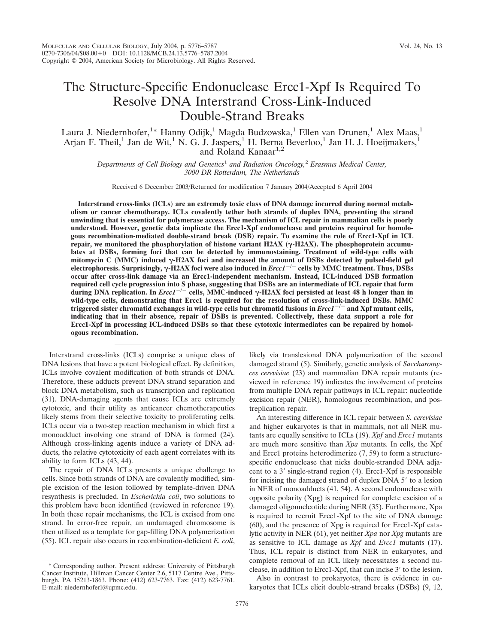# The Structure-Specific Endonuclease Ercc1-Xpf Is Required To Resolve DNA Interstrand Cross-Link-Induced Double-Strand Breaks

Laura J. Niedernhofer,<sup>1</sup>\* Hanny Odijk,<sup>1</sup> Magda Budzowska,<sup>1</sup> Ellen van Drunen,<sup>1</sup> Alex Maas,<sup>1</sup> Arjan F. Theil,<sup>1</sup> Jan de Wit,<sup>1</sup> N. G. J. Jaspers,<sup>1</sup> H. Berna Beverloo,<sup>1</sup> Jan H. J. Hoeijmakers,<sup>1</sup> and Roland Kanaar<sup>1,2</sup>

*Departments of Cell Biology and Genetics*<sup>1</sup> *and Radiation Oncology,*<sup>2</sup> *Erasmus Medical Center, 3000 DR Rotterdam, The Netherlands*

Received 6 December 2003/Returned for modification 7 January 2004/Accepted 6 April 2004

**Interstrand cross-links (ICLs) are an extremely toxic class of DNA damage incurred during normal metabolism or cancer chemotherapy. ICLs covalently tether both strands of duplex DNA, preventing the strand unwinding that is essential for polymerase access. The mechanism of ICL repair in mammalian cells is poorly understood. However, genetic data implicate the Ercc1-Xpf endonuclease and proteins required for homologous recombination-mediated double-strand break (DSB) repair. To examine the role of Ercc1-Xpf in ICL** repair, we monitored the phosphorylation of histone variant  $H2AX$  ( $\gamma$ - $H2AX$ ). The phosphoprotein accumu**lates at DSBs, forming foci that can be detected by immunostaining. Treatment of wild-type cells with** mitomycin C (MMC) induced  $\gamma$ -H2AX foci and increased the amount of DSBs detected by pulsed-field gel **electrophoresis. Surprisingly, -H2AX foci were also induced in** *Ercc1*-**/**- **cells by MMC treatment. Thus, DSBs occur after cross-link damage via an Ercc1-independent mechanism. Instead, ICL-induced DSB formation required cell cycle progression into S phase, suggesting that DSBs are an intermediate of ICL repair that form during DNA replication. In** *Ercc1*-**/**- **cells, MMC-induced -H2AX foci persisted at least 48 h longer than in wild-type cells, demonstrating that Ercc1 is required for the resolution of cross-link-induced DSBs. MMC triggered sister chromatid exchanges in wild-type cells but chromatid fusions in** *Ercc1*-**/**- **and Xpf mutant cells, indicating that in their absence, repair of DSBs is prevented. Collectively, these data support a role for Ercc1-Xpf in processing ICL-induced DSBs so that these cytotoxic intermediates can be repaired by homologous recombination.**

Interstrand cross-links (ICLs) comprise a unique class of DNA lesions that have a potent biological effect. By definition, ICLs involve covalent modification of both strands of DNA. Therefore, these adducts prevent DNA strand separation and block DNA metabolism, such as transcription and replication (31). DNA-damaging agents that cause ICLs are extremely cytotoxic, and their utility as anticancer chemotherapeutics likely stems from their selective toxicity to proliferating cells. ICLs occur via a two-step reaction mechanism in which first a monoadduct involving one strand of DNA is formed (24). Although cross-linking agents induce a variety of DNA adducts, the relative cytotoxicity of each agent correlates with its ability to form ICLs (43, 44).

The repair of DNA ICLs presents a unique challenge to cells. Since both strands of DNA are covalently modified, simple excision of the lesion followed by template-driven DNA resynthesis is precluded. In *Escherichia coli*, two solutions to this problem have been identified (reviewed in reference 19). In both these repair mechanisms, the ICL is excised from one strand. In error-free repair, an undamaged chromosome is then utilized as a template for gap-filling DNA polymerization (55). ICL repair also occurs in recombination-deficient *E. coli*,

likely via translesional DNA polymerization of the second damaged strand (5). Similarly, genetic analysis of *Saccharomyces cerevisiae* (23) and mammalian DNA repair mutants (reviewed in reference 19) indicates the involvement of proteins from multiple DNA repair pathways in ICL repair: nucleotide excision repair (NER), homologous recombination, and postreplication repair.

An interesting difference in ICL repair between *S. cerevisiae* and higher eukaryotes is that in mammals, not all NER mutants are equally sensitive to ICLs (19). *Xpf* and *Ercc1* mutants are much more sensitive than *Xpa* mutants. In cells, the Xpf and Ercc1 proteins heterodimerize (7, 59) to form a structurespecific endonuclease that nicks double-stranded DNA adjacent to a 3' single-strand region (4). Ercc1-Xpf is responsible for incising the damaged strand of duplex DNA 5' to a lesion in NER of monoadducts (41, 54). A second endonuclease with opposite polarity (Xpg) is required for complete excision of a damaged oligonucleotide during NER (35). Furthermore, Xpa is required to recruit Ercc1-Xpf to the site of DNA damage (60), and the presence of Xpg is required for Ercc1-Xpf catalytic activity in NER (61), yet neither *Xpa* nor *Xpg* mutants are as sensitive to ICL damage as *Xpf* and *Ercc1* mutants (17). Thus, ICL repair is distinct from NER in eukaryotes, and complete removal of an ICL likely necessitates a second nuclease, in addition to Ercc1-Xpf, that can incise 3' to the lesion.

Also in contrast to prokaryotes, there is evidence in eukaryotes that ICLs elicit double-strand breaks (DSBs) (9, 12,

<sup>\*</sup> Corresponding author. Present address: University of Pittsburgh Cancer Institute, Hillman Cancer Center 2.6, 5117 Centre Ave., Pittsburgh, PA 15213-1863. Phone: (412) 623-7763. Fax: (412) 623-7761. E-mail: niedernhoferl@upmc.edu.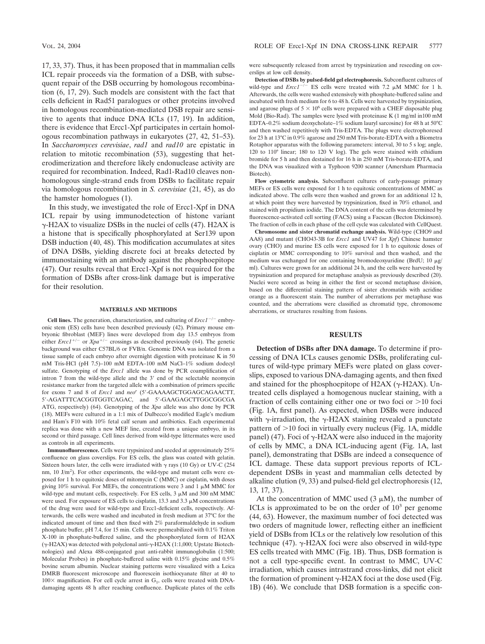17, 33, 37). Thus, it has been proposed that in mammalian cells ICL repair proceeds via the formation of a DSB, with subsequent repair of the DSB occurring by homologous recombination (6, 17, 29). Such models are consistent with the fact that cells deficient in Rad51 paralogues or other proteins involved in homologous recombination-mediated DSB repair are sensitive to agents that induce DNA ICLs (17, 19). In addition, there is evidence that Ercc1-Xpf participates in certain homologous recombination pathways in eukaryotes (27, 42, 51–53). In *Saccharomyces cerevisiae*, *rad1* and *rad10* are epistatic in relation to mitotic recombination (53), suggesting that heterodimerization and therefore likely endonuclease activity are required for recombination. Indeed, Rad1-Rad10 cleaves nonhomologous single-strand ends from DSBs to facilitate repair via homologous recombination in *S. cerevisiae* (21, 45), as do the hamster homologues (1).

In this study, we investigated the role of Ercc1-Xpf in DNA ICL repair by using immunodetection of histone variant  $\gamma$ -H2AX to visualize DSBs in the nuclei of cells (47). H2AX is a histone that is specifically phosphorylated at Ser139 upon DSB induction (40, 48). This modification accumulates at sites of DNA DSBs, yielding discrete foci at breaks detected by immunostaining with an antibody against the phosphoepitope (47). Our results reveal that Ercc1-Xpf is not required for the formation of DSBs after cross-link damage but is imperative for their resolution.

#### **MATERIALS AND METHODS**

**Cell lines.** The generation, characterization, and culturing of  $Erec1^{-/-}$  embryonic stem (ES) cells have been described previously (42). Primary mouse embryonic fibroblast (MEF) lines were developed from day 13.5 embryos from either *Ercc1<sup>+/-</sup>* or  $Xpa^{+/-}$  crossings as described previously (64). The genetic background was either C57BL/6 or FVB/n. Genomic DNA was isolated from a tissue sample of each embryo after overnight digestion with proteinase K in 50 mM Tris-HCl (pH 7.5)–100 mM EDTA–100 mM NaCl–1% sodium dodecyl sulfate. Genotyping of the *Ercc1* allele was done by PCR coamplification of intron 7 from the wild-type allele and the 3' end of the selectable neomycin resistance marker from the targeted allele with a combination of primers specific for exons 7 and 8 of *Ercc1* and *neo<sup>r</sup>* (5'-GAAAAGCTGGAGCAGAACTT, 5'-AGATTTCACGGTGGTCAGAC, and 5'-GAAGAGCTTGGCGGCGA ATG, respectively) (64). Genotyping of the *Xpa* allele was also done by PCR (18). MEFs were cultured in a 1:1 mix of Dulbecco's modified Eagle's medium and Ham's F10 with 10% fetal calf serum and antibiotics. Each experimental replica was done with a new MEF line, created from a unique embryo, in its second or third passage. Cell lines derived from wild-type littermates were used as controls in all experiments.

**Immunofluorescence.** Cells were trypsinized and seeded at approximately 25% confluence on glass coverslips. For ES cells, the glass was coated with gelatin. Sixteen hours later, the cells were irradiated with  $\gamma$  rays (10 Gy) or UV-C (254 nm, 10 J/m<sup>2</sup>). For other experiments, the wild-type and mutant cells were exposed for 1 h to equitoxic doses of mitomycin C (MMC) or cisplatin, with doses giving 10% survival. For MEFs, the concentrations were 3 and 1  $\mu$ M MMC for wild-type and mutant cells, respectively. For ES cells,  $3 \mu M$  and  $300 \text{ nM}$  MMC were used. For exposure of ES cells to cisplatin, 13.3 and 3.3  $\mu$ M concentrations of the drug were used for wild-type and Ercc1-deficient cells, respectively. Afterwards, the cells were washed and incubated in fresh medium at 37°C for the indicated amount of time and then fixed with 2% paraformaldehyde in sodium phosphate buffer, pH 7.4, for 15 min. Cells were permeabilized with 0.1% Triton X-100 in phosphate-buffered saline, and the phosphorylated form of H2AX  $(\gamma$ -H2AX) was detected with polyclonal anti- $\gamma$ -H2AX (1:1,000; Upstate Biotechnologies) and Alexa 488-conjugated goat anti-rabbit immunoglobulin (1:500; Molecular Probes) in phosphate-buffered saline with 0.15% glycine and 0.5% bovine serum albumin. Nuclear staining patterns were visualized with a Leica DMRB fluorescent microscope and fluorescein isothiocyanate filter at 40 to  $100\times$  magnification. For cell cycle arrest in G<sub>1</sub>, cells were treated with DNAdamaging agents 48 h after reaching confluence. Duplicate plates of the cells were subsequently released from arrest by trypsinization and reseeding on coverslips at low cell density.

**Detection of DSBs by pulsed-field gel electrophoresis.** Subconfluent cultures of wild-type and  $\text{E}rcc1^{-/-}$  ES cells were treated with 7.2  $\mu$ M MMC for 1 h. Afterwards, the cells were washed extensively with phosphate-buffered saline and incubated with fresh medium for 6 to 48 h. Cells were harvested by trypsinization, and agarose plugs of  $5 \times 10^6$  cells were prepared with a CHEF disposable plug Mold (Bio-Rad). The samples were lysed with proteinase K (1 mg/ml in100 mM EDTA–0.2% sodium deoxycholate–1% sodium lauryl sarcosine) for 48 h at 50°C and then washed repetitively with Tris-EDTA. The plugs were electrophoresed for 23 h at 13°C in 0.9% agarose and 250 mM Tris-borate-EDTA with a Biometra Rotaphor apparatus with the following parameters: interval, 30 to 5 s log; angle, 120 to 110° linear; 180 to 120 V log). The gels were stained with ethidium bromide for 5 h and then destained for 16 h in 250 mM Tris-borate-EDTA, and the DNA was visualized with a Typhoon 9200 scanner (Amersham Pharmacia Biotech).

**Flow cytometric analysis.** Subconfluent cultures of early-passage primary MEFs or ES cells were exposed for 1 h to equitoxic concentrations of MMC as indicated above. The cells were then washed and grown for an additional 12 h, at which point they were harvested by trypsinization, fixed in 70% ethanol, and stained with propidium iodide. The DNA content of the cells was determined by fluorescence-activated cell sorting (FACS) using a Facscan (Becton Dickinson). The fraction of cells in each phase of the cell cycle was calculated with CellQuest.

**Chromosome and sister chromatid exchange analysis.** Wild-type (CHO9 and AA8) and mutant (CHO43-3B for *Ercc1* and UV47 for *Xpf*) Chinese hamster ovary (CHO) and murine ES cells were exposed for 1 h to equitoxic doses of cisplatin or MMC corresponding to 10% survival and then washed, and the medium was exchanged for one containing bromodeoxyuridine (BrdU;  $10 \mu g$ / ml). Cultures were grown for an additional 24 h, and the cells were harvested by trypsinization and prepared for metaphase analysis as previously described (20). Nuclei were scored as being in either the first or second metaphase division, based on the differential staining pattern of sister chromatids with acridine orange as a fluorescent stain. The number of aberrations per metaphase was counted, and the aberrations were classified as chromatid type, chromosome aberrations, or structures resulting from fusions.

## **RESULTS**

**Detection of DSBs after DNA damage.** To determine if processing of DNA ICLs causes genomic DSBs, proliferating cultures of wild-type primary MEFs were plated on glass coverslips, exposed to various DNA-damaging agents, and then fixed and stained for the phosphoepitope of H2AX ( $\gamma$ -H2AX). Untreated cells displayed a homogenous nuclear staining, with a fraction of cells containing either one or two foci or  $>10$  foci (Fig. 1A, first panel). As expected, when DSBs were induced with  $\gamma$ -irradiation, the  $\gamma$ -H2AX staining revealed a punctate pattern of  $>$ 10 foci in virtually every nucleus (Fig. 1A, middle panel) (47). Foci of  $\gamma$ -H2AX were also induced in the majority of cells by MMC, a DNA ICL-inducing agent (Fig. 1A, last panel), demonstrating that DSBs are indeed a consequence of ICL damage. These data support previous reports of ICLdependent DSBs in yeast and mammalian cells detected by alkaline elution (9, 33) and pulsed-field gel electrophoresis (12, 13, 17, 37).

At the concentration of MMC used  $(3 \mu M)$ , the number of ICLs is approximated to be on the order of  $10<sup>3</sup>$  per genome (44, 63). However, the maximum number of foci detected was two orders of magnitude lower, reflecting either an inefficient yield of DSBs from ICLs or the relatively low resolution of this technique (47).  $\gamma$ -H2AX foci were also observed in wild-type ES cells treated with MMC (Fig. 1B). Thus, DSB formation is not a cell type-specific event. In contrast to MMC, UV-C irradiation, which causes intrastrand cross-links, did not elicit the formation of prominent  $\gamma$ -H2AX foci at the dose used (Fig. 1B) (46). We conclude that DSB formation is a specific con-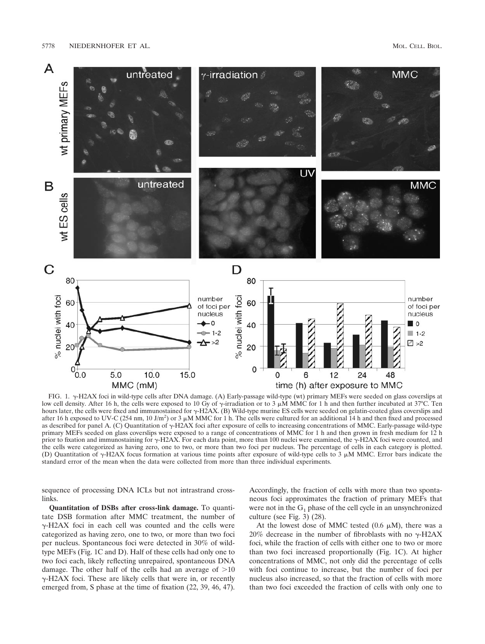

FIG. 1.  $\gamma$ -H2AX foci in wild-type cells after DNA damage. (A) Early-passage wild-type (wt) primary MEFs were seeded on glass coverslips at low cell density. After 16 h, the cells were exposed to 10 Gy of  $\gamma$ -irradiation or to 3  $\mu$ MMC for 1 h and then further incubated at 37°C. Ten hours later, the cells were fixed and immunostained for  $\gamma$ -H2AX. (B) Wild-type murine ES cells were seeded on gelatin-coated glass coverslips and after 16 h exposed to UV-C (254 nm, 10 J/m<sup>2</sup>) or 3  $\mu$ M MMC for 1 h. The cells were cultured for an additional 14 h and then fixed and processed as described for panel A. (C) Quantitation of  $\gamma$ -H2AX foci after exposure of cells to increasing concentrations of MMC. Early-passage wild-type primary MEFs seeded on glass coverslips were exposed to a range of concentrations of MMC for 1 h and then grown in fresh medium for 12 h prior to fixation and immunostaining for  $\gamma$ -H2AX. For each data point, more than 100 nuclei were examined, the  $\gamma$ -H2AX foci were counted, and the cells were categorized as having zero, one to two, or more than two foci per nucleus. The percentage of cells in each category is plotted. (D) Quantitation of  $\gamma$ -H2AX focus formation at various time points after exposure of wild-type cells to 3  $\mu$ M MMC. Error bars indicate the standard error of the mean when the data were collected from more than three individual experiments.

sequence of processing DNA ICLs but not intrastrand crosslinks.

**Quantitation of DSBs after cross-link damage.** To quantitate DSB formation after MMC treatment, the number of  $\gamma$ -H2AX foci in each cell was counted and the cells were categorized as having zero, one to two, or more than two foci per nucleus. Spontaneous foci were detected in 30% of wildtype MEFs (Fig. 1C and D). Half of these cells had only one to two foci each, likely reflecting unrepaired, spontaneous DNA damage. The other half of the cells had an average of  $>10$  $\gamma$ -H2AX foci. These are likely cells that were in, or recently emerged from, S phase at the time of fixation (22, 39, 46, 47). Accordingly, the fraction of cells with more than two spontaneous foci approximates the fraction of primary MEFs that were not in the  $G_1$  phase of the cell cycle in an unsynchronized culture (see Fig. 3) (28).

At the lowest dose of MMC tested  $(0.6 \mu M)$ , there was a 20% decrease in the number of fibroblasts with no  $\gamma$ -H2AX foci, while the fraction of cells with either one to two or more than two foci increased proportionally (Fig. 1C). At higher concentrations of MMC, not only did the percentage of cells with foci continue to increase, but the number of foci per nucleus also increased, so that the fraction of cells with more than two foci exceeded the fraction of cells with only one to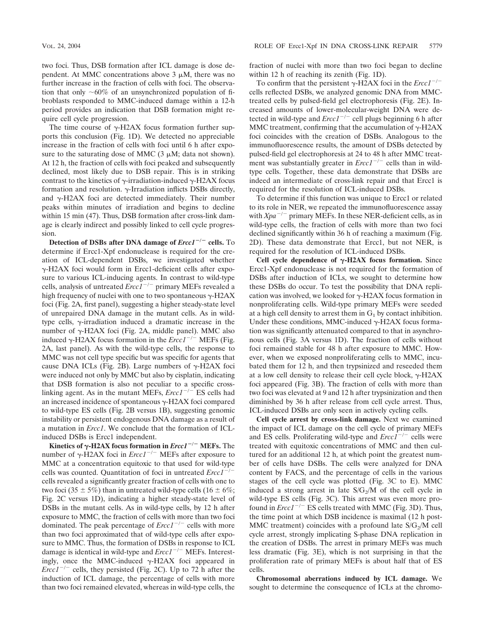two foci. Thus, DSB formation after ICL damage is dose dependent. At MMC concentrations above  $3 \mu$ M, there was no further increase in the fraction of cells with foci. The observation that only  $~60\%$  of an unsynchronized population of fibroblasts responded to MMC-induced damage within a 12-h period provides an indication that DSB formation might require cell cycle progression.

The time course of  $\gamma$ -H2AX focus formation further supports this conclusion (Fig. 1D). We detected no appreciable increase in the fraction of cells with foci until 6 h after exposure to the saturating dose of MMC  $(3 \mu M)$ ; data not shown). At 12 h, the fraction of cells with foci peaked and subsequently declined, most likely due to DSB repair. This is in striking contrast to the kinetics of  $\gamma$ -irradiation-induced  $\gamma$ -H2AX focus formation and resolution.  $\gamma$ -Irradiation inflicts DSBs directly, and  $\nu$ -H2AX foci are detected immediately. Their number peaks within minutes of irradiation and begins to decline within 15 min (47). Thus, DSB formation after cross-link damage is clearly indirect and possibly linked to cell cycle progression.

**Detection of DSBs after DNA damage of** *Ercc1*-**/**- **cells.** To determine if Ercc1-Xpf endonuclease is required for the creation of ICL-dependent DSBs, we investigated whether -H2AX foci would form in Ercc1-deficient cells after exposure to various ICL-inducing agents. In contrast to wild-type cells, analysis of untreated *Ercc1<sup>-/-</sup>* primary MEFs revealed a high frequency of nuclei with one to two spontaneous  $\gamma$ -H2AX foci (Fig. 2A, first panel), suggesting a higher steady-state level of unrepaired DNA damage in the mutant cells. As in wildtype cells,  $\gamma$ -irradiation induced a dramatic increase in the number of  $\gamma$ -H2AX foci (Fig. 2A, middle panel). MMC also induced  $\gamma$ -H2AX focus formation in the *Ercc1<sup>-/-</sup>* MEFs (Fig. 2A, last panel). As with the wild-type cells, the response to MMC was not cell type specific but was specific for agents that cause DNA ICLs (Fig. 2B). Large numbers of  $\gamma$ -H2AX foci were induced not only by MMC but also by cisplatin, indicating that DSB formation is also not peculiar to a specific crosslinking agent. As in the mutant MEFs, *Ercc1<sup>-/-*</sup> ES cells had an increased incidence of spontaneous  $\gamma$ -H2AX foci compared to wild-type ES cells (Fig. 2B versus 1B), suggesting genomic instability or persistent endogenous DNA damage as a result of a mutation in *Ercc1*. We conclude that the formation of ICLinduced DSBs is Ercc1 independent.

**Kinetics of**  $\gamma$ **-H2AX focus formation in** *Ercc1***<sup>-/-</sup> MEFs. The** number of  $\gamma$ -H2AX foci in *Ercc1<sup>-/-</sup>* MEFs after exposure to MMC at a concentration equitoxic to that used for wild-type cells was counted. Quantitation of foci in untreated *Ercc1*/ cells revealed a significantly greater fraction of cells with one to two foci (35  $\pm$  5%) than in untreated wild-type cells (16  $\pm$  6%; Fig. 2C versus 1D), indicating a higher steady-state level of DSBs in the mutant cells. As in wild-type cells, by 12 h after exposure to MMC, the fraction of cells with more than two foci dominated. The peak percentage of  $Ercc1^{-/-}$  cells with more than two foci approximated that of wild-type cells after exposure to MMC. Thus, the formation of DSBs in response to ICL damage is identical in wild-type and  $Ercc1^{-/-}$  MEFs. Interestingly, once the MMC-induced  $\gamma$ -H2AX foci appeared in *Ercc1<sup>-/-</sup>* cells, they persisted (Fig. 2C). Up to 72 h after the induction of ICL damage, the percentage of cells with more than two foci remained elevated, whereas in wild-type cells, the

fraction of nuclei with more than two foci began to decline within 12 h of reaching its zenith (Fig. 1D).

To confirm that the persistent  $\gamma$ -H2AX foci in the *Ercc1<sup>-/-</sup>* cells reflected DSBs, we analyzed genomic DNA from MMCtreated cells by pulsed-field gel electrophoresis (Fig. 2E). Increased amounts of lower-molecular-weight DNA were detected in wild-type and  $\text{E}r c t^{-/-}$  cell plugs beginning 6 h after MMC treatment, confirming that the accumulation of  $\gamma$ -H2AX foci coincides with the creation of DSBs. Analogous to the immunofluorescence results, the amount of DSBs detected by pulsed-field gel electrophoresis at 24 to 48 h after MMC treatment was substantially greater in  $Ercc1^{-/-}$  cells than in wildtype cells. Together, these data demonstrate that DSBs are indeed an intermediate of cross-link repair and that Ercc1 is required for the resolution of ICL-induced DSBs.

To determine if this function was unique to Ercc1 or related to its role in NER, we repeated the immunofluorescence assay with  $Xpa^{-/-}$  primary MEFs. In these NER-deficient cells, as in wild-type cells, the fraction of cells with more than two foci declined significantly within 36 h of reaching a maximum (Fig. 2D). These data demonstrate that Ercc1, but not NER, is required for the resolution of ICL-induced DSBs.

Cell cycle dependence of  $\gamma$ -H2AX focus formation. Since Ercc1-Xpf endonuclease is not required for the formation of DSBs after induction of ICLs, we sought to determine how these DSBs do occur. To test the possibility that DNA replication was involved, we looked for  $\gamma$ -H2AX focus formation in nonproliferating cells. Wild-type primary MEFs were seeded at a high cell density to arrest them in  $G_1$  by contact inhibition. Under these conditions, MMC-induced  $\gamma$ -H2AX focus formation was significantly attenuated compared to that in asynchronous cells (Fig. 3A versus 1D). The fraction of cells without foci remained stable for 48 h after exposure to MMC. However, when we exposed nonproliferating cells to MMC, incubated them for 12 h, and then trypsinized and reseeded them at a low cell density to release their cell cycle block,  $\gamma$ -H2AX foci appeared (Fig. 3B). The fraction of cells with more than two foci was elevated at 9 and 12 h after trypsinization and then diminished by 36 h after release from cell cycle arrest. Thus, ICL-induced DSBs are only seen in actively cycling cells.

**Cell cycle arrest by cross-link damage.** Next we examined the impact of ICL damage on the cell cycle of primary MEFs and ES cells. Proliferating wild-type and  $\text{E}r c t^{-1}$  cells were treated with equitoxic concentrations of MMC and then cultured for an additional 12 h, at which point the greatest number of cells have DSBs. The cells were analyzed for DNA content by FACS, and the percentage of cells in the various stages of the cell cycle was plotted (Fig. 3C to E). MMC induced a strong arrest in late  $S/G<sub>2</sub>/M$  of the cell cycle in wild-type ES cells (Fig. 3C). This arrest was even more profound in  $\text{E}rcc1^{-/-}$  ES cells treated with MMC (Fig. 3D). Thus, the time point at which DSB incidence is maximal (12 h post-MMC treatment) coincides with a profound late  $S/G<sub>2</sub>/M$  cell cycle arrest, strongly implicating S-phase DNA replication in the creation of DSBs. The arrest in primary MEFs was much less dramatic (Fig. 3E), which is not surprising in that the proliferation rate of primary MEFs is about half that of ES cells.

**Chromosomal aberrations induced by ICL damage.** We sought to determine the consequence of ICLs at the chromo-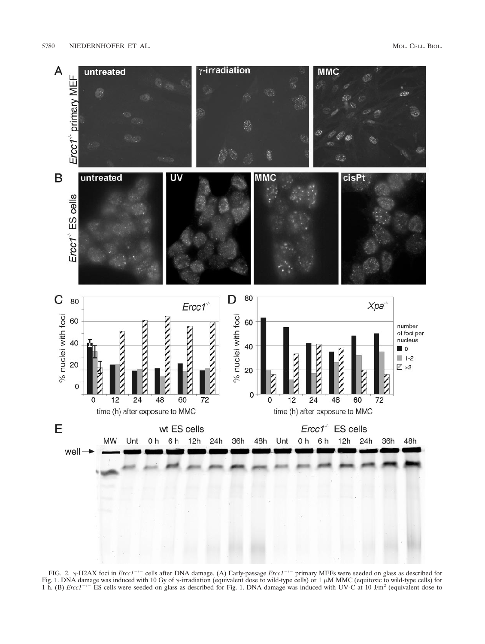

FIG. 2.  $\gamma$ -H2AX foci in *Ercc1<sup>-/-</sup>* cells after DNA damage. (A) Early-passage *Ercc1<sup>-/-</sup>* primary MEFs were seeded on glass as described for Fig. 1. DNA damage was induced with 10 Gy of  $\gamma$ -irradiation (equivalent dose to wild-type cells) or 1 µM MMC (equitoxic to wild-type cells) for<br>1 h. (B) *Ercc1<sup>-/-</sup>* ES cells were seeded on glass as described for Fig. 1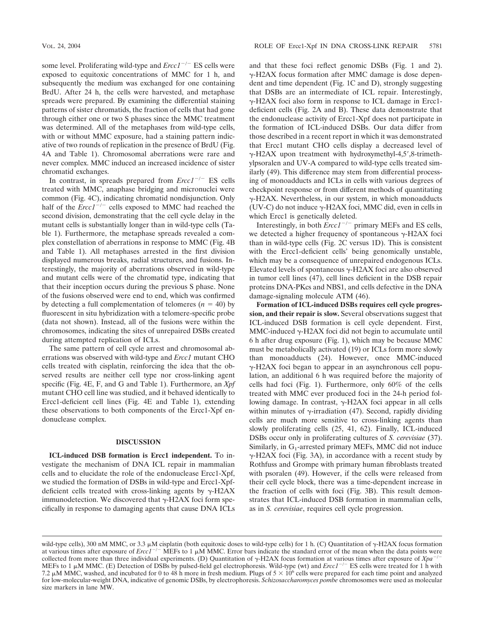some level. Proliferating wild-type and  $\text{E} \text{r} \text{c} \text{t}^{-1}$  ES cells were exposed to equitoxic concentrations of MMC for 1 h, and subsequently the medium was exchanged for one containing BrdU. After 24 h, the cells were harvested, and metaphase spreads were prepared. By examining the differential staining patterns of sister chromatids, the fraction of cells that had gone through either one or two S phases since the MMC treatment was determined. All of the metaphases from wild-type cells, with or without MMC exposure, had a staining pattern indicative of two rounds of replication in the presence of BrdU (Fig. 4A and Table 1). Chromosomal aberrations were rare and never complex. MMC induced an increased incidence of sister chromatid exchanges.

In contrast, in spreads prepared from  $Ercc1^{-/-}$  ES cells treated with MMC, anaphase bridging and micronuclei were common (Fig. 4C), indicating chromatid nondisjunction. Only half of the  $\text{E} \text{r} \text{c} \text{c} \text{t}^{-1}$  cells exposed to MMC had reached the second division, demonstrating that the cell cycle delay in the mutant cells is substantially longer than in wild-type cells (Table 1). Furthermore, the metaphase spreads revealed a complex constellation of aberrations in response to MMC (Fig. 4B and Table 1). All metaphases arrested in the first division displayed numerous breaks, radial structures, and fusions. Interestingly, the majority of aberrations observed in wild-type and mutant cells were of the chromatid type, indicating that that their inception occurs during the previous S phase. None of the fusions observed were end to end, which was confirmed by detecting a full complementation of telomeres  $(n = 40)$  by fluorescent in situ hybridization with a telomere-specific probe (data not shown). Instead, all of the fusions were within the chromosomes, indicating the sites of unrepaired DSBs created during attempted replication of ICLs.

The same pattern of cell cycle arrest and chromosomal aberrations was observed with wild-type and *Ercc1* mutant CHO cells treated with cisplatin, reinforcing the idea that the observed results are neither cell type nor cross-linking agent specific (Fig. 4E, F, and G and Table 1). Furthermore, an *Xpf* mutant CHO cell line was studied, and it behaved identically to Ercc1-deficient cell lines (Fig. 4E and Table 1), extending these observations to both components of the Ercc1-Xpf endonuclease complex.

#### **DISCUSSION**

**ICL-induced DSB formation is Ercc1 independent.** To investigate the mechanism of DNA ICL repair in mammalian cells and to elucidate the role of the endonuclease Ercc1-Xpf, we studied the formation of DSBs in wild-type and Ercc1-Xpfdeficient cells treated with cross-linking agents by  $\gamma$ -H2AX immunodetection. We discovered that  $\gamma$ -H2AX foci form specifically in response to damaging agents that cause DNA ICLs and that these foci reflect genomic DSBs (Fig. 1 and 2).  $\gamma$ -H2AX focus formation after MMC damage is dose dependent and time dependent (Fig. 1C and D), strongly suggesting that DSBs are an intermediate of ICL repair. Interestingly,  $\gamma$ -H2AX foci also form in response to ICL damage in Ercc1deficient cells (Fig. 2A and B). These data demonstrate that the endonuclease activity of Ercc1-Xpf does not participate in the formation of ICL-induced DSBs. Our data differ from those described in a recent report in which it was demonstrated that Ercc1 mutant CHO cells display a decreased level of  $\gamma$ -H2AX upon treatment with hydroxymethyl-4,5',8-trimethylpsoralen and UV-A compared to wild-type cells treated similarly (49). This difference may stem from differential processing of monoadducts and ICLs in cells with various degrees of checkpoint response or from different methods of quantitating  $\gamma$ -H2AX. Nevertheless, in our system, in which monoadducts (UV-C) do not induce  $\gamma$ -H2AX foci, MMC did, even in cells in which Ercc1 is genetically deleted.

Interestingly, in both  $Ercc1^{-/-}$  primary MEFs and ES cells, we detected a higher frequency of spontaneous  $\gamma$ -H2AX foci than in wild-type cells (Fig. 2C versus 1D). This is consistent with the Ercc1-deficient cells' being genomically unstable, which may be a consequence of unrepaired endogenous ICLs. Elevated levels of spontaneous  $\gamma$ -H2AX foci are also observed in tumor cell lines (47), cell lines deficient in the DSB repair proteins DNA-PKcs and NBS1, and cells defective in the DNA damage-signaling molecule ATM (46).

**Formation of ICL-induced DSBs requires cell cycle progression, and their repair is slow.** Several observations suggest that ICL-induced DSB formation is cell cycle dependent. First,  $MMC$ -induced  $\gamma$ -H2AX foci did not begin to accumulate until 6 h after drug exposure (Fig. 1), which may be because MMC must be metabolically activated (19) or ICLs form more slowly than monoadducts (24). However, once MMC-induced -H2AX foci began to appear in an asynchronous cell population, an additional 6 h was required before the majority of cells had foci (Fig. 1). Furthermore, only 60% of the cells treated with MMC ever produced foci in the 24-h period following damage. In contrast,  $\gamma$ -H2AX foci appear in all cells within minutes of  $\gamma$ -irradiation (47). Second, rapidly dividing cells are much more sensitive to cross-linking agents than slowly proliferating cells (25, 41, 62). Finally, ICL-induced DSBs occur only in proliferating cultures of *S. cerevisiae* (37). Similarly, in  $G_1$ -arrested primary MEFs, MMC did not induce  $\gamma$ -H2AX foci (Fig. 3A), in accordance with a recent study by Rothfuss and Grompe with primary human fibroblasts treated with psoralen (49). However, if the cells were released from their cell cycle block, there was a time-dependent increase in the fraction of cells with foci (Fig. 3B). This result demonstrates that ICL-induced DSB formation in mammalian cells, as in *S. cerevisiae*, requires cell cycle progression.

wild-type cells), 300 nM MMC, or 3.3  $\mu$ M cisplatin (both equitoxic doses to wild-type cells) for 1 h. (C) Quantitation of  $\gamma$ -H2AX focus formation at various times after exposure of  $Erc1^{-/-}$  MEFs to 1  $\mu$ M MMC. Error bars indicate the standard error of the mean when the data points were collected from more than three individual experiments. (D) Quantitation of  $\gamma$ -H2AX focus formation at various times after exposure of  $Xpa^-$ MEFs to 1  $\mu$ M MMC. (E) Detection of DSBs by pulsed-field gel electrophoresis. Wild-type (wt) and *Ercc1<sup>-/-</sup>* ES cells were treated for 1 h with 7.2  $\mu$ M MMC, washed, and incubated for 0 to 48 h more in fresh medium. Plugs of 5  $\times$  10<sup>6</sup> cells were prepared for each time point and analyzed for low-molecular-weight DNA, indicative of genomic DSBs, by electrophoresis. *Schizosaccharomyces pombe* chromosomes were used as molecular size markers in lane MW.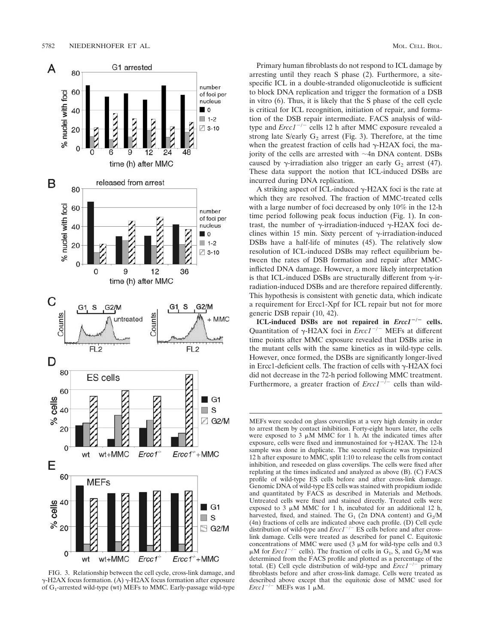

FIG. 3. Relationship between the cell cycle, cross-link damage, and  $\gamma$ -H2AX focus formation. (A)  $\gamma$ -H2AX focus formation after exposure of  $G_1$ -arrested wild-type (wt) MEFs to MMC. Early-passage wild-type

Primary human fibroblasts do not respond to ICL damage by arresting until they reach S phase (2). Furthermore, a sitespecific ICL in a double-stranded oligonucleotide is sufficient to block DNA replication and trigger the formation of a DSB in vitro (6). Thus, it is likely that the S phase of the cell cycle is critical for ICL recognition, initiation of repair, and formation of the DSB repair intermediate. FACS analysis of wildtype and *Ercc1<sup>-/-</sup>* cells 12 h after MMC exposure revealed a strong late S/early  $G_2$  arrest (Fig. 3). Therefore, at the time when the greatest fraction of cells had  $\gamma$ -H2AX foci, the majority of the cells are arrested with  $\sim$ 4n DNA content. DSBs caused by  $\gamma$ -irradiation also trigger an early  $G_2$  arrest (47). These data support the notion that ICL-induced DSBs are incurred during DNA replication.

A striking aspect of ICL-induced  $\gamma$ -H2AX foci is the rate at which they are resolved. The fraction of MMC-treated cells with a large number of foci decreased by only 10% in the 12-h time period following peak focus induction (Fig. 1). In contrast, the number of  $\gamma$ -irradiation-induced  $\gamma$ -H2AX foci declines within 15 min. Sixty percent of  $\gamma$ -irradiation-induced DSBs have a half-life of minutes (45). The relatively slow resolution of ICL-induced DSBs may reflect equilibrium between the rates of DSB formation and repair after MMCinflicted DNA damage. However, a more likely interpretation is that ICL-induced DSBs are structurally different from  $\gamma$ -irradiation-induced DSBs and are therefore repaired differently. This hypothesis is consistent with genetic data, which indicate a requirement for Ercc1-Xpf for ICL repair but not for more generic DSB repair (10, 42).

**ICL-induced DSBs are not repaired in** *Ercc1*-**/**- **cells.** Quantitation of  $\gamma$ -H2AX foci in *Ercc1<sup>-/-</sup>* MEFs at different time points after MMC exposure revealed that DSBs arise in the mutant cells with the same kinetics as in wild-type cells. However, once formed, the DSBs are significantly longer-lived in Ercc1-deficient cells. The fraction of cells with  $\gamma$ -H2AX foci did not decrease in the 72-h period following MMC treatment. Furthermore, a greater fraction of  $Ercc1^{-/-}$  cells than wild-

MEFs were seeded on glass coverslips at a very high density in order to arrest them by contact inhibition. Forty-eight hours later, the cells were exposed to  $3 \mu M$  MMC for 1 h. At the indicated times after exposure, cells were fixed and immunostained for  $\gamma$ -H2AX. The 12-h sample was done in duplicate. The second replicate was trypsinized 12 h after exposure to MMC, split 1:10 to release the cells from contact inhibition, and reseeded on glass coverslips. The cells were fixed after replating at the times indicated and analyzed as above (B). (C) FACS profile of wild-type ES cells before and after cross-link damage. Genomic DNA of wild-type ES cells was stained with propidium iodide and quantitated by FACS as described in Materials and Methods. Untreated cells were fixed and stained directly. Treated cells were exposed to 3  $\mu$ M MMC for 1 h, incubated for an additional 12 h, harvested, fixed, and stained. The G<sub>1</sub> (2n DNA content) and  $G_2/M$ (4n) fractions of cells are indicated above each profile. (D) Cell cycle distribution of wild-type and  $Ercc1^{-/-}$  ES cells before and after crosslink damage. Cells were treated as described for panel C. Equitoxic concentrations of MMC were used  $(3 \mu M)$  for wild-type cells and 0.3  $\mu$ M for *Ercc1<sup>-/-</sup>* cells). The fraction of cells in G<sub>1</sub>, S<sub>2</sub>, and G<sub>2</sub>/M was determined from the FACS profile and plotted as a percentage of the total. (E) Cell cycle distribution of wild-type and  $Ercc1^{-/-}$  primary fibroblasts before and after cross-link damage. Cells were treated as described above except that the equitoxic dose of MMC used for *Ercc1<sup>-/-</sup>* MEFs was 1  $\mu$ M.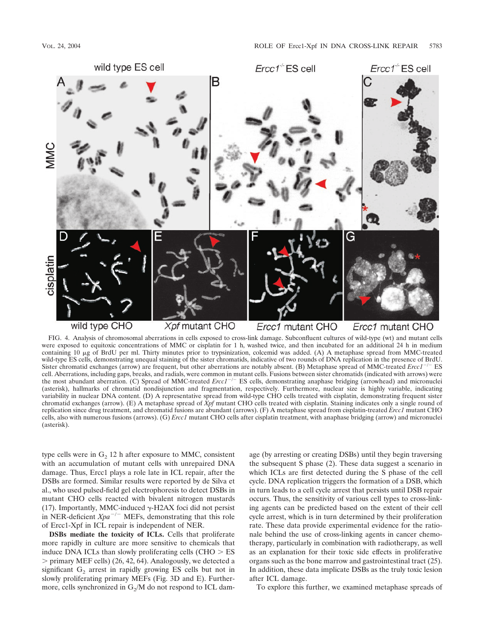

FIG. 4. Analysis of chromosomal aberrations in cells exposed to cross-link damage. Subconfluent cultures of wild-type (wt) and mutant cells were exposed to equitoxic concentrations of MMC or cisplatin for 1 h, washed twice, and then incubated for an additional 24 h in medium containing 10 µg of BrdU per ml. Thirty minutes prior to trypsinization, colcemid was added. (A) A metaphase spread from MMC-treated wild-type ES cells, demonstrating unequal staining of the sister chromatids, indicative of two rounds of DNA replication in the presence of BrdU. Sister chromatid exchanges (arrow) are frequent, but other aberrations are notably absent. (B) Metaphase spread of MMC-treated *Ercc1<sup>-/-</sup>* ES cell. Aberrations, including gaps, breaks, and radials, were common in mutant cells. Fusions between sister chromatids (indicated with arrows) were the most abundant aberration. (C) Spread of MMC-treated *Ercc1<sup>-/-</sup>* ES cells, demonstrating anaphase bridging (arrowhead) and micronuclei (asterisk), hallmarks of chromatid nondisjunction and fragmentation, respectively. Furthermore, nuclear size is highly variable, indicating variability in nuclear DNA content. (D) A representative spread from wild-type CHO cells treated with cisplatin, demonstrating frequent sister chromatid exchanges (arrow). (E) A metaphase spread of *Xpf* mutant CHO cells treated with cisplatin. Staining indicates only a single round of replication since drug treatment, and chromatid fusions are abundant (arrows). (F) A metaphase spread from cisplatin-treated *Ercc1* mutant CHO cells, also with numerous fusions (arrows). (G) *Ercc1* mutant CHO cells after cisplatin treatment, with anaphase bridging (arrow) and micronuclei (asterisk).

type cells were in  $G_2$  12 h after exposure to MMC, consistent with an accumulation of mutant cells with unrepaired DNA damage. Thus, Ercc1 plays a role late in ICL repair, after the DSBs are formed. Similar results were reported by de Silva et al., who used pulsed-field gel electrophoresis to detect DSBs in mutant CHO cells reacted with bivalent nitrogen mustards (17). Importantly, MMC-induced  $\gamma$ -H2AX foci did not persist in NER-deficient  $Xpa^{-/-}$  MEFs, demonstrating that this role of Ercc1-Xpf in ICL repair is independent of NER.

**DSBs mediate the toxicity of ICLs.** Cells that proliferate more rapidly in culture are more sensitive to chemicals that induce DNA ICLs than slowly proliferating cells (CHO  $>$  ES  $>$  primary MEF cells) (26, 42, 64). Analogously, we detected a significant  $G_2$  arrest in rapidly growing ES cells but not in slowly proliferating primary MEFs (Fig. 3D and E). Furthermore, cells synchronized in  $G_2/M$  do not respond to ICL damage (by arresting or creating DSBs) until they begin traversing the subsequent S phase (2). These data suggest a scenario in which ICLs are first detected during the S phase of the cell cycle. DNA replication triggers the formation of a DSB, which in turn leads to a cell cycle arrest that persists until DSB repair occurs. Thus, the sensitivity of various cell types to cross-linking agents can be predicted based on the extent of their cell cycle arrest, which is in turn determined by their proliferation rate. These data provide experimental evidence for the rationale behind the use of cross-linking agents in cancer chemotherapy, particularly in combination with radiotherapy, as well as an explanation for their toxic side effects in proliferative organs such as the bone marrow and gastrointestinal tract (25). In addition, these data implicate DSBs as the truly toxic lesion after ICL damage.

To explore this further, we examined metaphase spreads of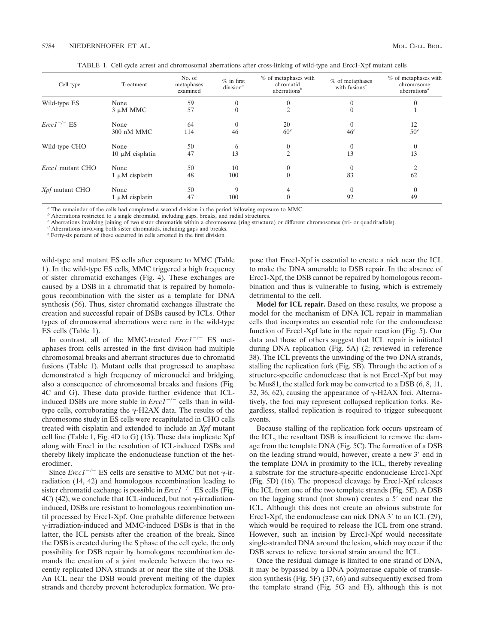TABLE 1. Cell cycle arrest and chromosomal aberrations after cross-linking of wild-type and Ercc1-Xpf mutant cells

| Cell type             | Treatment            | No. of<br>metaphases<br>examined | $%$ in first<br>division <sup>a</sup> | $%$ of metaphases with<br>chromatid<br>aberrations <sup>b</sup> | $%$ of metaphases<br>with fusions <sup>c</sup> | $%$ of metaphases with<br>chromosome<br>aberrations <sup><math>d</math></sup> |
|-----------------------|----------------------|----------------------------------|---------------------------------------|-----------------------------------------------------------------|------------------------------------------------|-------------------------------------------------------------------------------|
| Wild-type ES          | None                 | 59<br>57                         | $\theta$<br>$\theta$                  |                                                                 |                                                |                                                                               |
|                       | $3 \mu M$ MMC        |                                  |                                       |                                                                 |                                                |                                                                               |
| $Ercc1^{-/-}$ ES      | None                 | 64                               | $\theta$                              | 20                                                              |                                                | 12                                                                            |
|                       | 300 nM MMC           | 114                              | 46                                    | 60 <sup>e</sup>                                                 | 46 <sup>e</sup>                                | 50 <sup>e</sup>                                                               |
| Wild-type CHO         | None                 | 50                               | 6                                     | 0                                                               |                                                | $\Omega$                                                                      |
|                       | $10 \mu M$ cisplatin | 47                               | 13                                    | $\mathfrak{D}$                                                  | 13                                             | 13                                                                            |
| Ercc1 mutant CHO      | None                 | 50                               | 10                                    |                                                                 |                                                |                                                                               |
|                       | $1 \mu M$ cisplatin  | 48                               | 100                                   | $\theta$                                                        | 83                                             | 62                                                                            |
| <i>Xpf</i> mutant CHO | None                 | 50                               | 9                                     |                                                                 |                                                |                                                                               |
|                       | $1 \mu M$ cisplatin  | 47                               | 100                                   |                                                                 | 92                                             | 49                                                                            |

*<sup>a</sup>* The remainder of the cells had completed a second division in the period following exposure to MMC.

*b* Aberrations restricted to a single chromatid, including gaps, breaks, and radial structures.

*<sup>c</sup>* Aberrations involving joining of two sister chromatids within a chromosome (ring structure) or different chromosomes (tri- or quadriradials).

*<sup>d</sup>* Aberrations involving both sister chromatids, including gaps and breaks.

*<sup>e</sup>* Forty-six percent of these occurred in cells arrested in the first division.

wild-type and mutant ES cells after exposure to MMC (Table 1). In the wild-type ES cells, MMC triggered a high frequency of sister chromatid exchanges (Fig. 4). These exchanges are caused by a DSB in a chromatid that is repaired by homologous recombination with the sister as a template for DNA synthesis (56). Thus, sister chromatid exchanges illustrate the creation and successful repair of DSBs caused by ICLs. Other types of chromosomal aberrations were rare in the wild-type ES cells (Table 1).

In contrast, all of the MMC-treated  $Erec1^{-/-}$  ES metaphases from cells arrested in the first division had multiple chromosomal breaks and aberrant structures due to chromatid fusions (Table 1). Mutant cells that progressed to anaphase demonstrated a high frequency of micronuclei and bridging, also a consequence of chromosomal breaks and fusions (Fig. 4C and G). These data provide further evidence that ICLinduced DSBs are more stable in  $\text{E}rcc1^{-/-}$  cells than in wildtype cells, corroborating the  $\gamma$ -H2AX data. The results of the chromosome study in ES cells were recapitulated in CHO cells treated with cisplatin and extended to include an *Xpf* mutant cell line (Table 1, Fig. 4D to G) (15). These data implicate Xpf along with Ercc1 in the resolution of ICL-induced DSBs and thereby likely implicate the endonuclease function of the heterodimer.

Since *Ercc1<sup>-/-</sup>* ES cells are sensitive to MMC but not  $\gamma$ -irradiation (14, 42) and homologous recombination leading to sister chromatid exchange is possible in  $\text{E}rcc1^{-/-}$  ES cells (Fig. 4C) (42), we conclude that ICL-induced, but not  $\gamma$ -irradiationinduced, DSBs are resistant to homologous recombination until processed by Ercc1-Xpf. One probable difference between  $\gamma$ -irradiation-induced and MMC-induced DSBs is that in the latter, the ICL persists after the creation of the break. Since the DSB is created during the S phase of the cell cycle, the only possibility for DSB repair by homologous recombination demands the creation of a joint molecule between the two recently replicated DNA strands at or near the site of the DSB. An ICL near the DSB would prevent melting of the duplex strands and thereby prevent heteroduplex formation. We propose that Ercc1-Xpf is essential to create a nick near the ICL to make the DNA amenable to DSB repair. In the absence of Ercc1-Xpf, the DSB cannot be repaired by homologous recombination and thus is vulnerable to fusing, which is extremely detrimental to the cell.

**Model for ICL repair.** Based on these results, we propose a model for the mechanism of DNA ICL repair in mammalian cells that incorporates an essential role for the endonuclease function of Ercc1-Xpf late in the repair reaction (Fig. 5). Our data and those of others suggest that ICL repair is initiated during DNA replication (Fig. 5A) (2; reviewed in reference 38). The ICL prevents the unwinding of the two DNA strands, stalling the replication fork (Fig. 5B). Through the action of a structure-specific endonuclease that is not Ercc1-Xpf but may be Mus81, the stalled fork may be converted to a DSB (6, 8, 11, 32, 36, 62), causing the appearance of  $\gamma$ -H2AX foci. Alternatively, the foci may represent collapsed replication forks. Regardless, stalled replication is required to trigger subsequent events.

Because stalling of the replication fork occurs upstream of the ICL, the resultant DSB is insufficient to remove the damage from the template DNA (Fig. 5C). The formation of a DSB on the leading strand would, however, create a new 3' end in the template DNA in proximity to the ICL, thereby revealing a substrate for the structure-specific endonuclease Ercc1-Xpf (Fig. 5D) (16). The proposed cleavage by Ercc1-Xpf releases the ICL from one of the two template strands (Fig. 5E). A DSB on the lagging strand (not shown) creates a 5' end near the ICL. Although this does not create an obvious substrate for Ercc1-Xpf, the endonuclease can nick DNA 3' to an ICL (29), which would be required to release the ICL from one strand. However, such an incision by Ercc1-Xpf would necessitate single-stranded DNA around the lesion, which may occur if the DSB serves to relieve torsional strain around the ICL.

Once the residual damage is limited to one strand of DNA, it may be bypassed by a DNA polymerase capable of translesion synthesis (Fig. 5F) (37, 66) and subsequently excised from the template strand (Fig. 5G and H), although this is not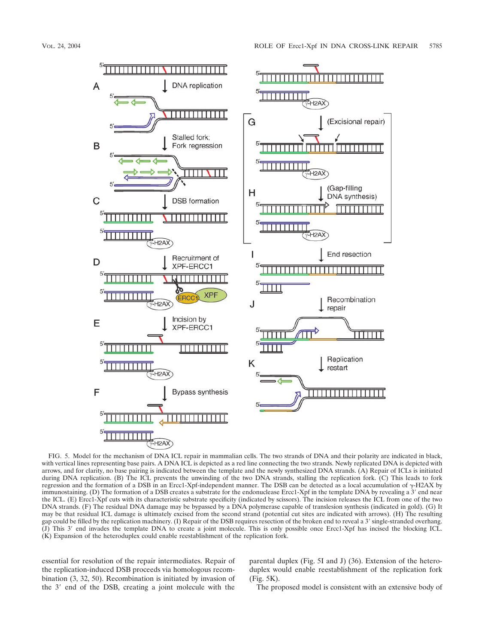

FIG. 5. Model for the mechanism of DNA ICL repair in mammalian cells. The two strands of DNA and their polarity are indicated in black, with vertical lines representing base pairs. A DNA ICL is depicted as a red line connecting the two strands. Newly replicated DNA is depicted with arrows, and for clarity, no base pairing is indicated between the template and the newly synthesized DNA strands. (A) Repair of ICLs is initiated during DNA replication. (B) The ICL prevents the unwinding of the two DNA strands, stalling the replication fork. (C) This leads to fork regression and the formation of a DSB in an Ercc1-Xpf-independent manner. The DSB can be detected as a local accumulation of  $\gamma$ -H2AX by immunostaining. (D) The formation of a DSB creates a substrate for the endonuclease Ercc1-Xpf in the template DNA by revealing a 3' end near the ICL. (E) Ercc1-Xpf cuts with its characteristic substrate specificity (indicated by scissors). The incision releases the ICL from one of the two DNA strands. (F) The residual DNA damage may be bypassed by a DNA polymerase capable of translesion synthesis (indicated in gold). (G) It may be that residual ICL damage is ultimately excised from the second strand (potential cut sites are indicated with arrows). (H) The resulting gap could be filled by the replication machinery. (I) Repair of the DSB requires resection of the broken end to reveal a 3- single-stranded overhang. (J) This 3' end invades the template DNA to create a joint molecule. This is only possible once Ercc1-Xpf has incised the blocking ICL. (K) Expansion of the heteroduplex could enable reestablishment of the replication fork.

essential for resolution of the repair intermediates. Repair of the replication-induced DSB proceeds via homologous recombination (3, 32, 50). Recombination is initiated by invasion of the 3' end of the DSB, creating a joint molecule with the

parental duplex (Fig. 5I and J) (36). Extension of the heteroduplex would enable reestablishment of the replication fork (Fig. 5K).

The proposed model is consistent with an extensive body of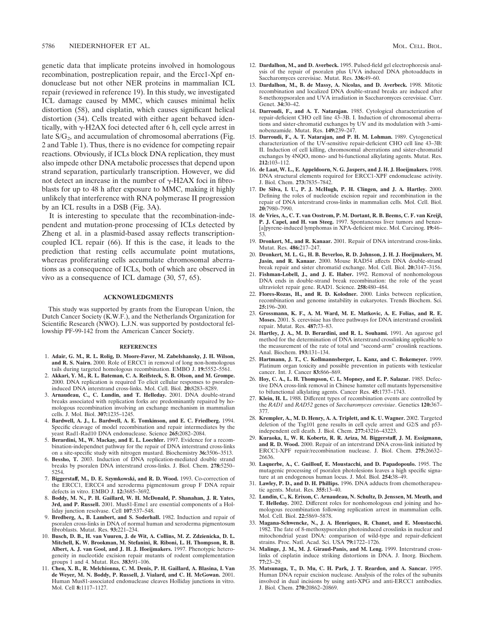genetic data that implicate proteins involved in homologous recombination, postreplication repair, and the Ercc1-Xpf endonuclease but not other NER proteins in mammalian ICL repair (reviewed in reference 19). In this study, we investigated ICL damage caused by MMC, which causes minimal helix distortion (58), and cisplatin, which causes significant helical distortion (34). Cells treated with either agent behaved identically, with  $\gamma$ -H2AX foci detected after 6 h, cell cycle arrest in late  $S/G_2$ , and accumulation of chromosomal aberrations (Fig. 2 and Table 1). Thus, there is no evidence for competing repair reactions. Obviously, if ICLs block DNA replication, they must also impede other DNA metabolic processes that depend upon strand separation, particularly transcription. However, we did not detect an increase in the number of  $\gamma$ -H2AX foci in fibroblasts for up to 48 h after exposure to MMC, making it highly unlikely that interference with RNA polymerase II progression by an ICL results in a DSB (Fig. 3A).

It is interesting to speculate that the recombination-independent and mutation-prone processing of ICLs detected by Zheng et al. in a plasmid-based assay reflects transcriptioncoupled ICL repair (66). If this is the case, it leads to the prediction that resting cells accumulate point mutations, whereas proliferating cells accumulate chromosomal aberrations as a consequence of ICLs, both of which are observed in vivo as a consequence of ICL damage (30, 57, 65).

### **ACKNOWLEDGMENTS**

This study was supported by grants from the European Union, the Dutch Cancer Society (K.W.F.), and the Netherlands Organization for Scientific Research (NWO). L.J.N. was supported by postdoctoral fellowship PF-99-142 from the American Cancer Society.

#### **REFERENCES**

- 1. **Adair, G. M., R. L. Rolig, D. Moore-Faver, M. Zabelshansky, J. H. Wilson, and R. S. Nairn.** 2000. Role of ERCC1 in removal of long non-homologous tails during targeted homologous recombination. EMBO J. **19:**5552–5561.
- 2. **Akkari, Y. M., R. L. Bateman, C. A. Reifsteck, S. B. Olson, and M. Grompe.** 2000. DNA replication is required To elicit cellular responses to psoraleninduced DNA interstrand cross-links. Mol. Cell. Biol. **20:**8283–8289.
- 3. **Arnaudeau, C., C. Lundin, and T. Helleday.** 2001. DNA double-strand breaks associated with replication forks are predominantly repaired by homologous recombination involving an exchange mechanism in mammalian cells. J. Mol. Biol. **307:**1235–1245.
- 4. **Bardwell, A. J., L. Bardwell, A. E. Tomkinson, and E. C. Friedberg.** 1994. Specific cleavage of model recombination and repair intermediates by the yeast Rad1-Rad10 DNA endonuclease. Science **265:**2082–2084.
- 5. **Berardini, M., W. Mackay, and E. L. Loechler.** 1997. Evidence for a recombination-independnet pathway for the repair of DNA interstrand cross-links on a site-specific study with nitrogen mustard. Biochemistry **36:**3506–3513.
- 6. **Bessho, T.** 2003. Induction of DNA replication-mediated double strand breaks by psoralen DNA interstrand cross-links. J. Biol. Chem. **278:**5250– 5254.
- 7. **Biggerstaff, M., D. E. Szymkowski, and R. D. Wood.** 1993. Co-correction of the ERCC1, ERCC4 and xeroderma pigmentosum group F DNA repair defects in vitro. EMBO J. **12:**3685–3692.
- 8. **Boddy, M. N., P. H. Gaillard, W. H. McDonald, P. Shanahan, J. R. Yates, 3rd, and P. Russell.** 2001. Mus81-Eme1 are essential components of a Holliday junction resolvase. Cell **107**:537–548.
- 9. **Bredberg, A., B. Lambert, and S. Soderhall.** 1982. Induction and repair of psoralen cross-links in DNA of normal human and xeroderma pigmentosum fibroblasts. Mutat. Res. **93:**221–234.
- 10. **Busch, D. B., H. van Vuuren, J. de Wit, A. Collins, M. Z. Zdzienicka, D. L. Mitchell, K. W. Brookman, M. Stefanini, R. Riboni, L. H. Thompson, R. B. Albert, A. J. van Gool, and J. H. J. Hoeijmakers.** 1997. Phenotypic heterogeneity in nucleotide excision repair mutants of rodent complementation groups 1 and 4. Mutat. Res. **383:**91–106.
- 11. **Chen, X. B., R. Melchionna, C. M. Denis, P. H. Gaillard, A. Blasina, I. Van de Weyer, M. N. Boddy, P. Russell, J. Vialard, and C. H. McGowan.** 2001. Human Mus81-associated endonuclease cleaves Holliday junctions in vitro. Mol. Cell **8:**1117–1127.
- 12. **Dardalhon, M., and D. Averbeck.** 1995. Pulsed-field gel electrophoresis analysis of the repair of psoralen plus UVA induced DNA photoadducts in Saccharomyces cerevisiae. Mutat. Res. **336:**49–60.
- 13. **Dardalhon, M., B. de Massy, A. Nicolas, and D. Averbeck.** 1998. Mitotic recombination and localized DNA double-strand breaks are induced after 8-methoxypsoralen and UVA irradiation in Saccharomyces cerevisiae. Curr. Genet. **34:**30–42.
- 14. **Darroudi, F., and A. T. Natarajan.** 1985. Cytological characterization of repair-deficient CHO cell line 43–3B. I. Induction of chromosomal aberrations and sister-chromatid exchanges by UV and its modulation with 3-aminobenzamide. Mutat. Res. **149:**239–247.
- 15. **Darroudi, F., A. T. Natarajan, and P. H. M. Lohman.** 1989. Cytogenetical characterization of the UV-sensitive repair-deficient CHO cell line 43–3B: II. Induction of cell killing, chromosomal aberrations and sister-chromatid exchanges by 4NQO, mono- and bi-functional alkylating agents. Mutat. Res. **212:**103–112.
- 16. **de Laat, W. L., E. Appeldoorn, N. G. Jaspers, and J. H. J. Hoeijmakers.** 1998. DNA structural elements required for ERCC1-XPF endonuclease activity. J. Biol. Chem. **273:**7835–7842.
- 17. **De Silva, I. U., P. J. McHugh, P. H. Clingen, and J. A. Hartley.** 2000. Defining the roles of nucleotide excision repair and recombination in the repair of DNA interstrand cross-links in mammalian cells. Mol. Cell. Biol. **20:**7980–7990.
- 18. **de Vries, A., C. T. van Oostrom, P. M. Dortant, R. B. Beems, C. F. van Kreijl, P. J. Capel, and H. van Steeg.** 1997. Spontaneous liver tumors and benzo- [a]pyrene-induced lymphomas in XPA-deficient mice. Mol. Carcinog. **19:**46– 53.
- 19. **Dronkert, M., and R. Kanaar.** 2001. Repair of DNA interstrand cross-links. Mutat. Res. **486:**217–247.
- 20. **Dronkert, M. L. G., H. B. Beverloo, R. D. Johnson, J. H. J. Hoeijmakers, M. Jasin, and R. Kanaar.** 2000. Mouse RAD54 affects DNA double-strand break repair and sister chromatid exchange. Mol. Cell. Biol. **20:**3147–3156.
- 21. **Fishman-Lobell, J., and J. E. Haber.** 1992. Removal of nonhomologous DNA ends in double-strand break recombination: the role of the yeast ultraviolet repair gene. RAD1. Science. **258:**480–484.
- 22. **Flores-Rozas, H., and R. D. Kolodner.** 2000. Links between replication, recombination and genome instability in eukaryotes. Trends Biochem. Sci. **25:**196–200.
- 23. **Grossmann, K. F., A. M. Ward, M. E. Matkovic, A. E. Folias, and R. E. Moses.** 2001. S. cerevisiae has three pathways for DNA interstrand crosslink repair. Mutat. Res. **487:**73–83.
- 24. **Hartley, J. A., M. D. Berardini, and R. L. Souhami.** 1991. An agarose gel method for the determination of DNA interstrand crosslinking applicable to the measurement of the rate of total and "second-arm" crosslink reactions. Anal. Biochem. **193:**131–134.
- 25. **Hartmann, J. T., C. Kollmannsberger, L. Kanz, and C. Bokemeyer.** 1999. Platinum organ toxicity and possible prevention in patients with testicular cancer. Int. J. Cancer **83:**866–869.
- 26. **Hoy, C. A., L. H. Thompson, C. L. Mopney, and E. P. Salazar.** 1985. Defective DNA cross-link removal in Chinese hamster cell mutants hypersensitive to bifunctional alkylating agents. Cancer Res. **45:**1737–1743.
- 27. **Klein, H. L.** 1988. Different types of recombination events are controlled by the *RAD1* and *RAD52* genes of *Saccharomyces cerevisiae*. Genetics **120:**367– 377.
- 28. **Krempler, A., M. D. Henry, A. A. Triplett, and K. U. Wagner.** 2002. Targeted deletion of the Tsg101 gene results in cell cycle arrest and G2/S and p53 independent cell death. J. Biol. Chem. **277:**43216–43223.
- 29. **Kuraoka, I., W. R. Kobertz, R. R. Ariza, M. Biggerstaff, J. M. Essigmann, and R. D. Wood.** 2000. Repair of an interstrand DNA cross-link initiated by ERCC1-XPF repair/recombination nuclease. J. Biol. Chem. **275:**26632– 26636.
- 30. **Laquerbe, A., C. Guillouf, E. Moustacchi, and D. Papadopoulo.** 1995. The mutagenic processing of psoralen photolesions leaves a high specific signature at an endogenous human locus. J. Mol. Biol. **254:**38–49.
- 31. **Lawley, P. D., and D. H. Phillips.** 1996. DNA adducts from chemotherapeutic agents. Mutat. Res. **355:**13–40.
- 32. **Lundin, C., K. Erixon, C. Arnaudeau, N. Schultz, D. Jenssen, M. Meuth, and T. Helleday.** 2002. Different roles for nonhomologous end joining and homologous recombination following replication arrest in mammalian cells. Mol. Cell. Biol. **22:**5869–5878.
- 33. **Magana-Schwencke, N., J. A. Henriques, R. Chanet, and E. Moustacchi.** 1982. The fate of 8-methoxypsoralen photoinduced crosslinks in nuclear and mitochondrial yeast DNA: comparison of wild-type and repair-deficient strains. Proc. Natl. Acad. Sci. USA **79:**1722–1726.
- 34. **Malinge, J. M., M. J. Giraud-Panis, and M. Leng.** 1999. Interstrand crosslinks of cisplatin induce striking distortions in DNA. J. Inorg. Biochem. **77:**23–29.
- 35. **Matsunaga, T., D. Mu, C. H. Park, J. T. Reardon, and A. Sancar.** 1995. Human DNA repair excision nuclease. Analysis of the roles of the subunits involved in dual incisions by using anti-XPG and anti-ERCC1 antibodies. J. Biol. Chem. **270:**20862–20869.